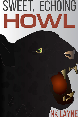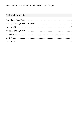#### **Table of Contents**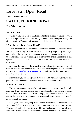### <span id="page-2-0"></span>**Love is an Open Road**

*An M/M Romance series*

# **SWEET, ECHOING HOWL**

### **By NK Layne**

#### **Introduction**

The story you are about to read celebrates love, sex and romance between men. It is a product of the *Love is an Open Road* promotion sponsored by the *Goodreads M/M Romance Group* and is published as a gift to you.

#### **What Is Love is an Open Road?**

The *Goodreads M/M Romance Group* invited members to choose a photo and pen a letter asking for a short M/M romance story inspired by the image; authors from the group were encouraged to select a letter and write an original tale. The result was an outpouring of creativity that shone a spotlight on the special bond between M/M romance writers and the people who love what these authors do.

A written description of the image that inspired this story is provided along with the original request letter. If you'd like to view the photo, please feel free to join the [Goodreads M/M Romance Group](http://www.goodreads.com/group/show/20149-m-m-romance) and visit the discussion section: *Love is an Open Road*.

No matter if you are a long-time devotee to M/M Romance, just new to the genre or fall somewhere in between, you are in for a delicious treat.

#### **Words of Caution**

This story may contain sexually explicit content and is **intended for adult readers.** It may contain content that is disagreeable or distressing to some readers. The *M/M Romance Group* strongly recommends that each reader review the General Information section before each story for story tags as well as for content warnings.

Each year, a dedicated group of Volunteers from the M/M Romance Group work hard behind the scenes to bring these stories to you. Our Editors, Formatters, Proofreaders, and those working on Quality Assurance, spend many long hours over a course of several months so that each Event is a success. As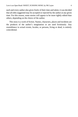each and every author also gives freely of their time and talent, it was decided that all edits suggested may be accepted or rejected by the author at any given time. For this reason, some stories will appear to be more tightly edited than others, depending on the choice of the author.

This story is a work of fiction. Names, characters, places and incidents are the products of the author's imagination or are used fictitiously. Any resemblance to actual events, locales, or persons, living or dead, is entirely coincidental.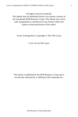All rights reserved worldwide.

This eBook may be distributed freely in its entirety courtesy of the Goodreads M/M Romance Group. This eBook may not be sold, manipulated or reproduced in any format without the express written permission of the author.

Sweet, Echoing Howl, Copyright © 2015 NK Layne

Cover Art by NK Layne

This ebook is published by the *M/M Romance Group* and is not directly endorsed by or affiliated with Goodreads Inc.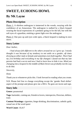## <span id="page-5-0"></span>**SWEET, ECHOING HOWL By NK Layne**

#### **Photo Description**

Photo 1: A shirtless androgyne is immersed in the woods, swaying with the confidence of an Amazonian. The androgyne is stalked by a black leopard wearing the facial expressions of a predator going in for the kill, but with the soft eyes of a guardian, emitting a green light over the androgyne.

Photo 2: One paw up and eyes wide open, a black leopard is making its next move.

#### **Story Letter**

#### *Dear Author,*

*I had always felt different to the others around me as I grew up. I mostly thought it was because of my tendency to not settle on a gender, oft times dressing as either male or female and sometimes even both together. Then I had my 21st birthday and everything in my life changed. I found out that my late parents had had a secret and now I had to learn how to hide it too. Mind you changing into a leopard in the middle of Main Street was probably not the way to do that.*

*Sincerely,*

*Ilona*

Thank you to whomever picks this. I look forward to reading what you create.

N.B. Please feel free to change everything except the 'gender fluid shifter' aspect of the prompt and please give me a HEA. No goes are incest and rape.

#### **Story Info**

**Genre:** paranormal

**Tags:** bartender, coming out, friends to lovers, interspecies, Peruvian, shifters, trans

**Content Warnings:** cigarettes, binge drinking, discrimination, catholic guilt, casual use of the word queer

**Word Count:** 10,417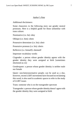#### *Author's Note*

<span id="page-6-0"></span>Additional disclaimers:

Some characters in the following story use gender neutral pronouns. Here is a helpful guide for those unfamiliar with trans culture:

Nominative (i.e. he): zhey

Oblique (i.e. him): zhem

Possessive determiner (i.e. his): zheir

Possessive pronoun (i.e. his): zheirs

Reflexive (i.e. himself): zhemself

Important vocabulary words:

Cisgender: a person whose gender identity agrees with the gender identity they were assigned at birth [sometimes shortened as cis]

Genderqueer: a person whose gender identity is neither male nor female

Queer: non-heteronormative people; can be used as a slur, however, recent LGBT movements have focused on reclaiming this word; is also used in academic spaces to refer to the study of LGBT issues

Trans: someone who is on the transgender spectrum

Transgender: a person whose gender identity doesn't agree with the gender identity they were assigned at birth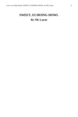### <span id="page-7-0"></span>**SWEET, ECHOING HOWL By NK Layne**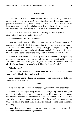#### **Part One**

<span id="page-8-0"></span>"So how do I look?" Leone twirled around the bar, long brown hair cascading to zheir movements. Surrounding zhem were blush-red, liquoriceperfumed furniture. Zhey were wearing one of zheir favorite dresses. It was knee length and lilac, with a tight bottom half, accenting zheir curvy, perky ass, and a flowing, loose top, giving the illusion that Leone had breasts.

"Fuckable. Mad fuckable," said Ash, leaning across the glass bar. "Your sister is totally going to want to ride that."

Leone laughed. "You're fucking trash."

Ash shrugged zheir shoulders, wiping the sticky, brown remains of someone's spilled drink off the countertop. Zhey were petite with a curly fauxhawk, and umber-toned skin, wearing a small, golden septum piercing, and a black studded crop top, showing off pink armpit hair. Ash was an effeminate trans man and Leone's best friend. "My break is coming up. You ready?"

Leone rubbed the contours of zheir golden-olive shoulders. "I was planning on never coming out… like *never* never. Like, 'bury me in a suit and tie' never. But now… now that I have you… I guess I'm ready, in the sense that I'm absolutely one hundred percent horrified but also kind of ready."

"Need a shot?"

"No. I… I gotta do this sober." Leone bounced closer to the bar and grabbed Ash's hand. "Thanks. For coming with me."

Ash gripped Leone's hand, for a second, before shrugging the hold off. "Hey, what are friends for?"

\*\*\*\*

Sara held both of Leone's wrists together, gripped in a firm death lock.

Leone rolled zheir eyes. Zhey weren't exactly expecting zheir sister to pop out a frosted cake or hand out party hats or do anything remotely celebratory, but this wasn't exactly the reaction zhey were expecting either. Leone wasn't sure why zheir sister thought zhey would flee the second zhey came out as trans, but as her grip got tighter and tighter, fleeing became more and more tempting.

Ash wiggled zheir bushy eyebrows, silently mouthing the words *nice bondage*, from across the dining-room table.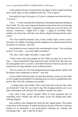Leone gritted between clenched teeth, the edges of zheir mouth twitching into a small smile, as zhey nodded toward Ash. "You're gross."

Sara quickly let go of her grip, as if Leone's comment was directed to her. "I'm sorry."

"No, I…" Leone stretched zheir hands out, releasing the phantom feeling of Sara's hold. "It's just, many important business transactions rely on me having functional wrists. Like earlier, I popped over to hand you your rent check, for instance. Tomorrow, I might have to fight… a gang of crocodiles. Who, notably, are always late with their rent checks, despite having perfectly intact wrists."

"Oh. That would be shameful, Sara, if zhey couldn't fight. Leone is such a ferocious croc-fighter. Punching with the toughness of a someone marred from incurable croc-trauma," said Ash.

Sara looked at Leone, looked at Ash, and returned to Leone. "Are you being serious? You really... you really fight crocodiles?"

"No. Sara. I don't fight crocodiles. I mean, duh?"

"I don't know what trans people are into! What you guys do in your free time…" Sara scrunched her long, dark-brown hair with her fists. Her skin was the same golden olive as Leone's, from their Peruvian American ancestry and mutual love for long sunbaths on the California shore.

"We can assure you, the Venn diagram between large aquatic reptiles and the Iquitos trans community is narrow," said Ash.

Leone couldn't help but smile. Up until that moment, Leone was never able to even imagine the possibility of exposing zheir true self as a genderfluid trans person. But with Ash, anything was possible…

…as long as they were friends. That's what Ash said, at the bar: *Hey, what are friends for?* God, this was Leone's big, life-changing moment, yet it was zheir relationship with Ash that still somehow loomed over zhem.

Like, what if they weren't friends? What if Leone proposed they be something more? Would Ash still be there, across the dining-room table, offering support?

Sara wailed as she collapsed her head into her cupped hands. This jerked Leone back to the moment. "I totally should have known. Why else would my brother be so interested in my quinceañera? Stealing my catalogs and everything. Like… duh. I must be an idiot."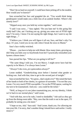"Don't be so hard on yourself. I could have been jerking off to the models. How would you've known?"

Sara scrunched her face and grappled the air. "You would think being genderqueer would make you a little less of an asshole brother. Where's the sisterly love?"

"Slipped away once you held my wrists together," said Leone.

"I said I was sorry…" Sara sighed. "Do you hate me? Is this going like *really* bad? Like, am I fucking you up, giving you some sort of PTSD right now? I'm sorry, I know I'm not saying the right things, but *I want* to say the right things…"

"I believe you. I think you will figure it all out, Sara, and that's why I'm okay. It's just, I need you on my side when I break the news to Mamá."

Sara's face visibly twitched.

"Please… you have to help me with Mamá. How many times, growing up, did I help you hide your ex-boyfriends from her? I practically reinstalled your hymen a dozen times."

Sara pursed her lips. "What are you going to tell her?"

"The same thing I told you. I'm not Marco. I might never have had the capacity to be Marco. I've always been Leone."

"Always? Like even, *pre-*quinceañera always?"

Leone nodded. "Genderfucking since before I learned what gender or fucking was. And with that, time to get to the second part of tonight."

Sara scrunched her face. "Ew gross.*¡Qué cojudo eres!*" She raised the back of her hands to both of her cheeks, in a gesture of surrender. "I'm not like you, Leone. I'm very much PTSD susceptible. I'm on the PTSD queue, waiting for my turn to be traumatized. And you—you could be the ticket."

"Well, as long as it is sex jokes traumatizing you, not my identity, I think we're back to our normal place," said Leone.

"And with that, not to be rude, I need to skedaddle," Ash said as zhey got up from the dining-room table. "Hey, now that the truth is out in the open, I'll probably be seeing you a lot more."

"I hope so too, Ash," Sara said. "And Leone, thank you. For allowing me into your life. I'm sorry, that's another thing I should have said earlier. I really mean it."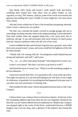Sara shook Ash's hand, and Leone's smile spread wide and hearty, wrinkling zheir tanned face. Fine, there were no glitter bombs, or cute cupcakes, or witty, DIY banners. And yes, some of her words were hurtful and ignorant, but nothing that wasn't fixable if Leone taught her a bit more about trans culture.

Ash and Leone walked out of Sara's flat toward the juxtaposing sidewalk, where Leone's motorcycle was parked.

The bike was a decade-old model, covered in enough grunge and rust to camouflage anything remotely white in the original painting. Leone inherited it from zheir mother when she stopped riding only a few years prior, due to relatively old age. It was still decorated with travel stickers of check points from the Amazon rainforest where she did a lot of her work.

Leone straddled the bike and tied zheir long hair into a ponytail. Ash curled zheir arms around Leone's waist, and Leone could feel the lightness of the ride hit zhem already.

"Thanks Ash. For coming with me. You being here really helped keep me strong and optimistic and stuff," said Leone.

"Ya… ya… so, what's that about fucking?" Ash whispered in Leone's ear.

Leone's cock jerked. "But don't you have to go back to work?"

Ash kissed the back of Leone's ear. "What if we did something naughty in the bar bathroom…"

Leone kick-started zheir bike. As it growled to life, Leone woke up with it. This night was special, in a way that had nothing to do with Sara. It was a night of celebration, of gratitude, for everything that had happened in the past year: it was zheir one-year anniversary of meeting Ash.

They headed off zheir sister's block and pushed onward, back to Ash's bar, Cotopaxi.

\*\*\*\*

Colores Street was a famous block in downtown Iquitos. It had one of the few remaining cobbled roads from when the city was originally colonized, but that relic was all Colores offered from its traditional era. Modern day Cotopaxi was plopped right in the center of the block, sandwiched between a BDSM dungeon and a sex-toy shop, only a glimmer of the industry that framed the road.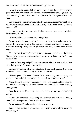Leone's favorite place, of all of Iquitos, was Colores Street. Here, one year prior, zhey introduced zhemself with zheir true name without having to explain, without having to prove zhemself. That night was also the night that zhey met Ash.

It was zheir one-year anniversary of actively participating in Colores Street, but it was also more than that. It was the first year of Leone existing as zheir genuine self.

In this sense, it was more of a birthday than an anniversary of zheir friendship with Ash.

Ash was behind the countertop, serving drinks.

Leone was at the corner of the bar, eyeing the unisex bathroom in the corner. It was a pretty slow Tuesday night though, and there was another bartender working. They should get away with this, if they were nimble enough.

Truth be told, it wouldn't be the first time Ash and Leone had public sex in Cotopaxi; however, it would be the first time they were doing it while Ash was on the clock.

The first time zhey had public sex was in the backroom, on the velvet love seat, during one of Cotopaxi's sex parties.

Leone wore nothing other than tight, form-fitting black panties. Zheir cock throbbed in its constraint, adding more tease to the moment.

Ash whispered, "I wonder if you will stretch more in public or not; my big monster strap-on is still rocking my backpack. Ready to re-test you."

Then, the harsh crackle of a condom package breaking, the sterile scent of the lubricant lathering Ash's cock, precum dribbling out of Leone, staining zheir panties.

Ash, howling, as if zhey were the one being stuffed, as zhey entered Leone—

"Psst," Ash whispered while sitting on a bar stool next to Leone, bringing zhem back to the present. "Meet me in five minutes."

Leone nodded. Blood rushed to zheir growing cock.

Zhey looked out into space as zhey let some time pass, falling back into their thoughts.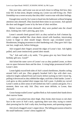One year later, and Leone was not an inch closer to telling Ash how zhey truly felt. In that sense, despite coming out, Leone was still living a lie. Their friendship was a sweet security that zhey didn't want to mar with zheir feelings.

Enough time went by for Leone to head into the bathroom without bringing attention onto zhemself. Zhey knocked three times in succession. Ash opened the door and dragged Leone in by the hem of zheir neckline.

Before Leone could orient zhemself, zhey were pushed onto the closed door, looking into Ash's piercing, gray eyes.

Leone's smooth cheek grazed Ash's as zhey sucked on Ash's bottom lip. Ash's cologne smelled like clean sheets mixed with bourbon, intoxicating Leone to linger in zheir mouth longer. Electric zaps circulated Leone's bloodstream, bringing awareness to zheir hardening cock. Zhey gave Ash's lips one last, rough suck, before letting go.

Ash wrapped zheir fingers around the edges of Leone's hair. Ash lightly pulled, and Leone instinctively parted zheir mouth.

"So," Ash said with a sly smile, "I'm gonna give my best friend zheir birthday gift now. Good?"

Ash licked the outer curve of Leone's ear as zhey pushed Leone, so there was no space between them and the door. A rising bulge pronounced itself in Leone's skirt.

Leone lightly traced both sides of Ash's raised cheekbones, thumbs curling around Ash's soft jaw. Zhey gingerly brushed Ash's lips with zheir own, seductive tingles radiated from each touch, before sucking on Ash's lower lip, pulling it downward as zhey nibbled the edges, each bite a little harder. Leone's cock grew as zhey pushed zheir tongue into Ash's pout. A pliable joy curved Leone's smile as zheir sense of self melted into Ash's canines and gums. For a moment, there was only Ash. Zhey were more definite, to Leone, than zhemself.

Goose bumps trailed Leone's golden flesh as Ash roamed zheir hands down zheir narrow frame.

Leone's cock jerked into zheir thigh. Zhey broke zheir kisses to rub zheir face in the curve of Ash's neck, squeezing zheir eyes shut, trying to control zheir pressing lust for Ash's salty skin, howling moans, and spasming orgasm.

Ash slowly dragged Leone's zipper down. The falling percussion echoed in the small bathroom. Leone's dress toppled off.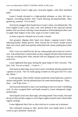Ash brushed Leone's tight pecs, browned nipples, with zheir hardened palm.

Leone's breath elevated to a high-pitched whimper as zhey fell into a vignette, everything besides Ash's touch blurring incomprehensibly. Zhey ground up, moaned. "I'm so hard."

Ash slowly dragged zheir hands down Leone's chest, over defined abs. The tease tingled Leone's skin, zheir cock well defined in the charcoal-colored panties Ash was slowly entering. Leone moaned as Ash brushed past zheir cock to tangle zheir fingers in the curly wisps of Leone's pubic hair.

A chain of growls vibrated out of Leone's mouth.

Ash groaned, dipping zheir hand even deeper, cupping Leone's balls, inducing harsher, deeper growls. Zhey moved one of Leone's hands toward zheir own crotch, and Leone quickly unbuckled Ash's jeans, pulling down zheir briefs.

Ash's cock was small but fat, the tip a deep purple and as hard as Leone's own. Ash smiled zheir wicked smile as zhey stripped off zheir black briefs and crop top, revealing zheir chest, marred with two diagonal scars where breasts used to be.

Leone tightened zheir grip, feeling the squat shape of Ash's erection. "Oh, fuck, Ash. You are so hard… I want to…"

Ash stood on zheir tippy-toes to kiss Leone's forehead, already painted with a glisten of sweat. "Are we really going to battle on who goes first? It's your day. Relax."

Leone groaned. Zhey briefly looked around the small bathroom coated in stickers and graffiti. Not the ultimate place for some interlocking sex. "Okay… okay… you'll get yours…"

Ash lowered zhemself so zhey were kneeling in front of Leone's throbbing cock. As zhey wrapped zheir cool hands around it, Leone whimpered a highpitched plea.

Ash slurped Leone into zheir tight, salivating mouth. Once inside, Ash used the tip of zheir prickly tongue to circle figure eights around Leone's head while eagerly sucking.

Leone tightened zheir fists as zhey tried not to scream out in pleasure.

Ash continued sucking as zhey moved zheir own hands down to zheir crotch to give zhemself a hand job.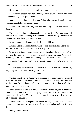Between muffled moans, Ash swallowed more of Leone.

Leone thrust deeper into Ash's throat, where it was so warm and tight Leone felt zhey were going to burst.

Ash's sucks got harder and harder. When zhey moaned, audibly now, vibrations rattled down Leone's cock.

Leone could barely hear Ash, zheir ears thumping so loudly with zheir own heartbeat.

They came together. Simultaneously. For the first time. The room spun, and elation filled Leone, exorcising everything else. The only thing left behind was Ash—zheir overflowing passion for Ash.

Leone slipped out of Ash's mouth with an audible *plop*.

Ash and Leone had fucked many times before, but never had Leone felt so close to Ash that zheir own selfhood was in question.

Leone was going to comment—say something about the grandness of the moment they just shared, but as zhey opened zheir eyes zhey found Ash already standing up with zheir pants on, grabbing paper towels to clean the mess.

"I need a drink," Ash said as zhey wiped Leone's cum off the bathroom floor.

Leone rubbed zheir temples. Zheir familiar sadness had already crept up, replacing the high. "Yeah. I can go for a drink."

\*\*\*\*

The first time Leone met Ash was at a costumed sex party. It was supposed to be insanity themed, so Leone simplified zheir previous Harley Quinn cosplay to the essentials. A red and black catsuit and matching jester hat, scarlet lips, and highly blushed cheeks.

It was totally a narcissistic joke. Leone didn't expect anyone to approach zhem to rant about Batman at a sex party. Geekdom wasn't exactly what the space was advertising. Yet, when Leone entered the party, the first costume zhey noticed was Ash's.

Ash was leaning on an exposed brick wall, wearing blood-red lipstick, zheir septum piercing, a green, cropped wig, a long, purple jacket, and satin, Batman boxers.

Harley Quinn's Joker.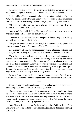Leone dashed right to zhem. It wasn't love at first sight as much as want to talk to you all night at first sight. To Leone's delight, Ash rolled with it.

In the middle of their conversation about the waysinsanity built up Gotham City's metaphorical infrastructure, a narrow-faced woman in a black miniskirt and dark-violet corset came up to them. She proposed having a threesome.

"Um, you're really cute—no you really are—but we are kind of in the middle of something," said Leone.

"Oh, yeah." Ash nodded. "You. The cutest. We just… we just are getting to the really good part… of our, uh, conversation."

The woman left, confused, but not too upset, as Leone caught her making out with another woman shortly after.

"Maybe we should get out of this party? You can come to my place. For some pizza and *Batman: The Animated Series*?" suggested Ash.

Leone eagerly agreed. The hangout quickly turned into pizza, cartoons, and a blow job, and such began the foundation of Leone's friendship with Ash.

Their dynamic was enjoyable for a very long time, until, suddenly, it wasn't. Until their beer-soaked rituals, the midnight of sharing their other sexcapades, became painful. Until it became more like an exchange of punches and kicks than comradeship. Ash would recount another one of zheir fucks, and Leone was forced to nod, in mock interest, even though each graphic descriptor burned like a penance. Zhey were left wondering if zhey were more or less significant than Ash's other partners. If zhey mattered at all.

Leone refused to ruin the friendship with romantic tension. Even if, as the days passed, Leone increasingly longed for less and less space between them.

\*\*\*\*

Shortly after their fuck, Ash handed Leone a spiked lemonade from the bar countertop. "So, how does it feel to be one year old?"

"Dirty. No one-year-old should have access to as many genitalia variations as I have." Leone took a deep sip of zheir drink as zhey let the moment marinate. The sex with Ash was potent, and zhey wanted to talk about it, but it wasn't exactly an appropriate conversation to have when Ash was on the clock. "But you know, I'm not exactly against dirtiness."

"Oh, I know. I've seen you. At the pro-dirty rallies. With the Make Filth Not War picket. Very dashing." Ash was rubbing the countertop again, cleaning fresh spills.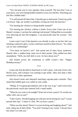"Yes, because you're very squeaky clean yourself. The last time I was at your place, you were being double teamed in your own kitchen. Watching you felt like a bubble bath."

"I'm still pissed off about that. I literally got so distracted, I burnt my *pollo a la brasa*. Ugh, my mother is probably cursing me from the heavens."

"For burning the chicken or being double teamed?"

"For burning the chicken, without a doubt. Every time I burn one of my Mamá's recipes, I can hear her ordering God around. Telling Him to reconsider ever allowing me into His kingdom. I can practically hear her scream." Ash smiled.

Leone wasn't sure if the tipsiness was already in play or not but Ash was emitting a seductive glow. Leone could have stared at zhem forever. "So, when can we start celebrating?"

"You mean we haven't yet?" Ash raised one of zheir fuzzy eyebrows. Shortly after, a sudden *beep* came out of zheir pocket. Zhey pulled out zheir smartphone. "Well, my half shift is over. So how about now?"

Ash leaned across the countertop to ruffle Leone's hair. "Happy Birthdayversary!"

\*\*\*\*

Leone and Ash decided to head back to Ash's place. Ash only lived a few blocks away, and Cotopaxi was starting to get stuffy. Zhey also kept a fully stocked bar in zheir apartment.

Ash mixed Leone and zhemself matching cupcake-pink cocktails. They tasted like bubble gum wax rolled in rock candy.

"Whelp. If I'm gonna get diabetes, this is the way to go," said Leone from the patchwork couch that centered Ash's small studio.

"What do you want to do tonight? Want me to host a party? Or would you rather chill, one on one?"

"I don't know. Would hanging out with just me be boring for you?" Leone pursed zheir lips. "I mean it's fine. We can have a party."

"What was that about? Weren't we just fucking and laughing about?" Ash took a deep sip of zheir drink. "You aren't boring to me, Leone. I always have fun when I'm with you."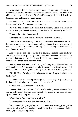Leone used to feel so *relaxed* around Ash, like zhey could say anything because zhey had this amazing, unconditional support system. Zhey used to be able to just exist as Ash's best friend and be overjoyed, not filled with the bitterness that had come to plague zhem.

But now, every conversation with Ash seemed like a trap. Leone never knew exactly what Ash meant or was implying.

What did the sex they had earlier that day mean? Leone felt like zheir molecular composition entirely merged into Ash's. Did Ash really not feel it?

"Want to do shots?" Leone asked.

Ash eagerly filled two shot glasses with a caramel-hued liquor.

They took their shots quickly. The harsh bitterness rattled in Leone's throat, but after a strong inhalation of Ash's stale apartment, it went away, leaving behind a slightly blurred room, pumps of joy, and a craving for nicotine. "Oh, man. I need a smoke."

Ash got up and fumbled to the kitchen counter, grabbing a box of cloves and a light. Zhey were gone for just a moment, but Leone was overcome with the space between zhemself and Ash. It seemed so… perverse. Like there should never be any space between them.

Before Leone realized Ash was heading back, zhey found zhemself nibbling on a black clove, Ash leaning in to light it. Leone took a deep breath in and slumped into the vibrating high of the cigarette. "I think I'm already drunk."

"No shit. Hey, it's only your birthday once. Sort of. Do you celebrate both birthdays?"

"I celebrate all my fucking birthdays. Queer birthday. Vagina-popping birthday. Half birthday. I'm the Mad Hatter in a dress."

"And you're so, so handsome in a dress."

Leone smiled. Zheir cock twitched. Usually fucking Ash sated Leone for a few days; however, this time zhey were already ready to ride zhem all over again. "Man, I'm getting addicted to you."

"Careful now. Could turn into a sap fest."

Leone drooped zheir shoulders forward. "Is that bad?"

"No, it is chill, I'm just playing. Actually, there are some sappy things I've wanted to tell you." Ash reached a hand toward Leone's shoulders, lightly massaging the developing knots.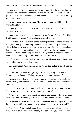Ash kept on saying things, but Leone couldn't follow. Zhey became distracted by Ash's long, umber throat. For the first time, zhey saw the small pulsations in the veins of zheir neck. The movement hypnotized Leone, pulling out a new craving.

Leone wanted to consume Ash. Bite by bite, nibble by nibble, until there was nothing left.

Zhey growled, a deep throat-rattle, and Ash jerked away from zhem. "Leone, are you okay?"

Ash's concerned voice bolted recognition into Leone. That was Ash. Zheir best friend; zheir crush. A human being. Certainly not food.

Leone took in a deep breath of the musty apartment. Composure quickly realigned zheir spine, returning Leone to a more sober reality. Leone was not shy to darker sadomasochistic fantasies, but never was zheir lust so compulsive. Zhey weren't sure what just happened and didn't have the vocabulary to even hint at it without Ash thinking zhey were entirely insane. "I'm sorry… I think I need to drink more… I just can't relax. I'm not chill like you."

"I like the way you are." Ash paused. Zhey looked Leone up and down. "Do you really think you should drink more?"

Leone shrugged. "You've seen me function with a far higher blood-alcohol level before."

"True, but… I never saw you ignore me completely. That was kind of important stuff, Leone… It's hard for me to talk about romance…"

Leone's ears perked up; zheir heart dropped into zheir gut. "Oh… Sorry. I mean, I really didn't hear you. I mean, fuck. Let's talk about it. I want to talk about it."

"Don't know. Just tryin' to say I'm drawn to you, Leone. Increasingly. Day in, day out. And I thought it was the same with you…"

"Those are actually my exact thoughts. Increasingly drawn to you, increasingly impressed by you. I never… I didn't realize you felt the same."

Ash stared at Leone with a grimace. "I've never seen your eyes so dilated before. How do I know you aren't just saying that because you're drunk?"

"I… We don't have to talk about this right now. We don't have to talk about how I couldn't have outed myself today if I wasn't with you—Without you, I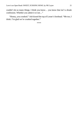couldn't do so many things. I think you know… you know that isn't a drunk confession. Whether you admit it or not…"

"Honey, you crunked." Ash kissed the top of Leone's forehead. "Me too, I think. I'm glad we're crunked together."

\*\*\*\*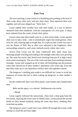#### **Part Two**

<span id="page-21-0"></span>The next morning, Leone awoke to a throbbing pain pushing at the back of zheir scalp, down zheir neck, and into zheir chest. Zhey squeezed zheir eyes together and soft tears slipped out. "Holy fuck…"

Leone rubbed zheir swollen face with zheir hands, as a way to distract zhemself from zheir headache, with the consequence of a new pain. A sharp burn radiated from the center of both zheir palms.

Unsure what state zheir hands were in, or zheir entire body, Leone opened zheir eyes to take a look—only to immediately regret that small gesture. Zhey were hit with a blaring light so bright that, for a split second, Leone was sure it was the flames of Hell. But as zheir eyes adjusted to the brightness, zheir surroundings seeped in, and Leone realized exactly where zhey were.

Across from Leone was the same windowsill zhey spent many lazy mornings people watching and reading in the sunlight when zhey were growing up. The same fire trucks zhey heard every morning from pre-K to high school *zoom zoom* zooming by. The rest of the room was bare from anything remotely nostalgic. Leone had wrapped up all of zheir old furnishings and decorations when zhey moved out of zheir mother's apartment a few years ago. Even the bed zhey woke up in was humorless without zheir old superhero sheets.

The hangover's shrilling pain made it too difficult for Leone to recall the sequence of events that led to zhem waking up hungover, at zheir mother's house.

On the windowsill, there were three plastic water bottles and a handwritten note.

*Bebe mucha agua y ve a dormir. Hablamonos esta noche.*

#### *—Mamá*

Leone eagerly followed the instructions. Zhey took a deep gulp from the first bottle, enjoying the sweet taste of chilled water. Leone poured the second bottle on zheir heated forehead, letting the water drip down, soothing zheir scratched-up palms.

The hangover wasn't cured, but it was chilled off enough that Leone could attempt to recall the previous night.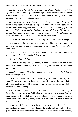*Alcohol swirled through Leone's vision, blurring and brightening Ash's apartment, like a string of Christmas lights. Nude bodies were contorted around every nook and cranny of the studio, each radiating their unique perfume of sweat, lube, and pheromones.*

*Ash was leaning on zheir kitchen counter, mixing zhemself another gin and tonic, giving Leone a perfect view of zheir perky, umber ass. Leone could barely recall what happened next, but somehow, Leone ended up grinding against Ash's legs. A warm vibration buzzed through zheir veins, like zhey were already balls deep, but zhey were barely even getting touched. The feeling was thick and warm, growing zheir dick and easing zheir mind.*

*Ash stretched zheir neck backward as zhey arched into Leone's humps.*

*A strange thought hit Leone: what would it be like to eat Ash? came up again. The curiosity turned into a pressing hunger as zhey let zhemself take a small taste.*

*Zheir cock hardened as the salty, wet blood poured into zheir mouth, and Ash's long, high-pitched howl filled the room.*

*Everything blurred after.*

*Ash was surprisingly strong, as zhey pushed Leone into a chilled, metal enclosure. Leone whimpered, wet nose pushing against narrow bars, until zhey passed out.*

*And then… nothing. Then just waking up, here, at zheir mother's house, with a killer hangover.*

"Wait—what the fuck? No. What the *fucking* fuck? Did I—did I try to eat Ash?" Leone could only meditate on that question for a split second before zhey snorted. Zhey pulled the carton of slightly smashed cloves out of zheir sewn-in bra and lit one up.

Okay, *if* that happened, that would be the worst punch line. Nothing to laugh about, but it was so left field, it had to be the dreams of a deranged drunk. Ash was probably in a ball somewhere, so hungover zhey *wished* zhey were eaten. Zhey were probably texting Leone minute-by-minute updates on zheir hangover status.

Leone patted zhemself down, looking for zheir phone, but nada. Zhey searched in zheir shoes, under zheir bed, on the windowsill, but no phone. Zhey patted zhemself down once more, just in case, and that was when Leone's hazy,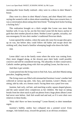morning-after brain finally realized—zhey were in a dress in zheir Mamá's house.

Zhey were in a dress in zheir Mamá's house, and zheir Mamá left a note saying she wanted to talk to zhem about something. Best-case scenario here, it was a conversation about eating zheir best friend. "Fucking fuck fucker fucking a fucking fuck."

This realization brought on a thick weight that Leone was more than familiar with. It was, by far, not the first time Leone felt the heavy anchor of guilt that zheir mother placed on zhem. Neither Leone's gender, sexuality, nor non-monogamy fit into zheir mother's traditional Peruvian ideals.

Leone opened the window, where the same old, rusty fire escape zhey grew up on was, but before zhey could follow old habits and escape down the wishing well, zhey heard a familiar whomping laugh echo down the halls.

Ash.

\*\*\*\*

Leone didn't run to the family room where the noise was coming from. Zhey more slugged along, at the slowest pace zheir body could possibly conceive and still be considered moving. The absurdity of zheir conservative, Catholic mother getting along with Ash was pulling Leone, but that was it.

And then it got weirder.

Leone peered into the living room to find Ash, Sara, and zheir Mamá eating pancakes, laughing merrily.

The living room was filled with mismatched furniture Leone's mother had collected at various tag sales. Ash, Sara, and Jasmine, Leone's Mamá, were sitting, side by side, on a lemon couch. Facing them was a pearl love seat.

Jasmine, had curly, red hair, and matching scarlet, square-shaped glasses, and the same tanned olive complexion as her children. She kept on taking breaks from her short stack to pull out photos from a huge photo album Leone had never seen before. And Ash would nod and nod, as if it were zheir own relatives in these books.

"Holy shit! Have we been incesting?" Leone blurted, to zheir immediate regret.

Jasmine's bubbly, smiley face collapsed into a pointed scowl. Even stranger, Ash looked away, toward the ground, in an obvious avoidance.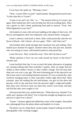It was Sara who spoke up. "Morning, Leone."

"Wait—Leone? Who's Leone?" asked Jasmine. She gestured toward Leone. "Is that what this is? Leone?"

"Leone is me and I am 'this,' so…" The tension built up in Leone's gut again. Zhey looked into Ash's eyes for help, but Ash was avoiding zhem. There was a gauze on Ash's cheek, graduating from pink to maroon. "Fuck. Ash. What happened to your face?"

Ash looked at Leone with soft tears budding at the edges of zheir eyes. All the joy and happiness zheir face displayed, only minutes before, long gone.

Leone's memory came back to zhem. Zhey could practically taste the rust flavor of blood—*Ash's blood*—all over again. "Did I—did I bite you?"

Ash brushed zheir hands through zheir fauxhawk but said nothing. Zhey looked up to Jasmine for support. Jasmine whom zhey only just met. Jasmine who was staring at Leone, with knotted eyebrows and pursed lips.

Leone felt toxic. Zhey circled the room. "How did I do that to you?"

"Better question is how can you walk around my house in that dress?" Jasmine spat.

Leone buckled zheir lips. It was so much the better alternative of popping out wearing nothing other than yesterday's panties. Zhey no longer had any clothes at zheir mother's house, so zhey couldn't change. The last time zhey slept over was over a year ago. The most frustrating part of this spectacle was that Leone wasn't even feeling feminine anymore. If it was a normal day, zhey would be lounging home in zheir masculine clothes right about then. Most certainly, zhey felt nothing like the hard-femme, riot grrrl act the dress had become, with its rips and tears from the previous night's rough-and-tumble. Here zhey were, forced to come out when zhey weren't even ready, and zhey still felt like zhey were caught in a lie.

Ash narrowed zheir eyes, jerked zheir jaw. "What about you, Jasmine? You really aren't going to tell zhem? You've kept this straight-up dangerous secret and you're upset over a dress?"

"I know." Jasmine sighed and rubbed the corner of her temples. She pulled out a photograph from the photo album and handed it to Leone.

The photo was of a deep-black, nearly purple, leopard walking toward the photographer with a leaning swagger.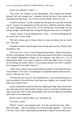Leone was confused. "I don't—"

"You know the leopard in that photograph. That leopard has birthed, dressed, fed, and cleaned you." Jasmine covered her face in her palms, her breathing loud and nasal. "So, I'm not exactly human. None of us are…"

"I need to sit down." Leone slumped into the pearl love seat that faced the couch. "I guess I'm supposed to be like all *ooh* or *ahhh* but, honestly, Mamá, you aren't making any sense at all. You're saying that even though you are sitting, upright, with human skin, eating fucking pancakes, you're a leopard?"

"I know. I know, I'm not making sense—I just… I've been stalling this for my entire life. I'm not ready."

"We don't always get to choose when we come out about who we really are," Ash said.

A familiar warmth crept through Leone, easing zheir anxiety. *Thanks*, zhey mouthed to Ash.

"You, me, Sara—we're a clan of leopard shapeshifters. Think werewolves, but like, wereleopards. This was one of the main reasons I left Peru. Connecting with another shapeshifter brings out our monster, and there are a lot of shapeshifters there. You weren't suppose to shift, last night or ever. I'm sorry for not telling you earlier, Marco. I was trying to protect you. But it wouldn't have happened if you hadn't had sex."

"I don't know what you are saying, Mamá, but there is one thing I do know. I'm not Marco. I'm Leone. I'm *androgino*. I use gender-neutral pronouns and… fuck it, I like the way I am."

"You like the way you are? Your *disobedience*, your sexual immaturity, is why you shifted. If you did what I said, kept your virginity, you wouldn't have bitten your friend's face."

Leone combed zheir hands in zheir hair, lightly growling. Zhey closed zheir eyes, the urge to leave zheir mother's house, never to come back, battling zheir urge to stay, get closer to Ash, and apologize over and over again for something zhey didn't even understand.

Before Leone could go either way, Ash spoke up.

"I'm sorry, Leone."

"What?" Leone's eyes popped open. "I'm the one that hurt you. After... after last night… after everything we've been through together… I *hurt* you. I'm sorry. Fuck, I don't understand, but that doesn't mean I'm not really sorry."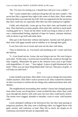"No. I'm sorry for turning you. I should have told you I was a shifter."

"Oh." Leone wished zhey could just shrug that off, but zhey couldn't. The secret hurt like a cigarette burn right in the center of zheir chest. Zheir mother betraying zhem was expected, but Ash? Ash was supposed to be the one person that zhey could rely on, especially after their last time making love together.

Coldly and robotically, Leone got up from zheir chair and headed to the door. Zhey had lied to so many people, zheir entire life, and felt so much skullcrushing guilt for it. Turns out the entire world was lying to zhem as well. It was a malnourished feeling, depleted of hope for honest, intimate relations, with no desire to go forth and make them.

Zhey got to the front door without interruption: Jasmine and Ash glued to their seats with agape mouths and an inability to act through their guilt.

It was Sara who ran to Leone and went out the door with zhem.

"Way to defend me, sis. You barely said anything at all," Leone said from the hallway.

"I—I just found out too. Leone, she was lying to me too. We were lying to each other. All this time, I worried and worried that she would see through my false virginity. Meanwhile she goes to the Amazon every year to get freaky with shapeshifters. It's just..." Sara sighed. A piece of gold shimmered in her hand. "There was one more thing Mamá didn't tell you. This piece of gold—it will help you shift back."

\*\*\*\*

Leone needed to go home. Zhey didn't even want to change into masculine clothes anymore. Zhey didn't want to *present* at all. Zhey wanted the isolation of zheir own home to confirm the few things zhey understood about zheir selfidentity.

The neighborhood surrounding zheir mother's house had changed greatly from when Leone was living there. Leone recalled the days where zhey could sway through this district with wide arms, but now zhey could barely stretch. The streets were clogged, shoulder to shoulder, waist to waist, with business suits.

Leone attempted walking to the downtown bus, but zhey kept pausing in temporary paralysis, like zhey were a buffering video, too lagged down with guilt, anxiety, and confusion, to load. Zhey felt so much, the simple act of continuous movement became an impossible task.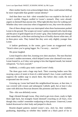Zheir mother barely even acknowledged zhem. How could animal shifting be more respectable than gender-variant identity?

And then there was Ash—zheir wounded face was stapled to the back of Leone's eyelids. Disgust curdled in Leone's stomach. Zhey were already angrier at zhemself than anyone else. What right did zhey have for walking out? Whether zhey were conscious when it happened or not, *zhey* were the attacker.

One of these abrupt stops was interrupted when three businessmen pushed Leone to the ground. The scrapes on Leone's palms reopened with a harsh sting and the piece of gold slipped out of Leone's grip. Zhey looked upward, through zheir matted hair, at the three snickering faces of freshly shaven white men, all in three-piece suits. They looked like they were only slightly younger than Leone.

A lankier gentleman, in the center, gave Leone an exaggerated wink. "Watch where you're going faggot. No. I'm sorry… *maricón*."

His posse laughed.

Leone leaped to zheir feet, looming over zheir attackers. The men flinched at Leone's sudden movement, which helped Leone raise zhemself even more. Leone leaned in, as if zhey were going to kiss that bigoted mouth, but instead whispered, "Go fuck yourself."

Suddenly, a crinkly gray static coated Leone's body.

The three guys took a huge step back. Their cowering bodies were like swaying a piece of steak in front of a rabid animal's face. Leone could barely suppress the sudden urge to attack them. But before zhey could, the men evaporated into the crowd.

Growing up, Leone had hated this neighborhood because, at that time, it was covered with crosses and subsequent Catholic guilt, but at least it also came with delicious Peruvian desserts like *piononos* and *huevo chimbo*.

This—this was definitely worse.

Rage vibrated through Leone. Zhey tried to get even closer, ready to fight them right back, but strangely found zhemself crouching on all fours, even though zhey couldn't remember readjusting to that posture. Unnerved, Leone looked downward at zheir body and jumped in shock.

Rosette-shaped patterns stained Leone's new, slick fur, their visibility graduating, depending on whether they landed on a black patch of fur or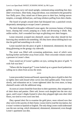golden. A long curvy tail stood upright, communicating something that zhey didn't even know. Zheir body, long and robust, was cemented to the ground by four fluffy paws. Zhey raised one of these paws to zheir face, feeling narrow temples, a strongly defined jaw, and long whiskers puffing from zheir cheeks.

The hoard of people around zhem had dissipated into a panicked crowd, desperately attempting to escape Leone's presence.

The dark thoughts infiltrated Leone again: the ravenous fantasy of letting loose, chasing that crowd, jumping on a body and devouring it whole. But, unlike earlier, Ash's wounded face kept on glitching over zheir hungers.

Leone retracted, scooped into zhemself, unsure what zhey should do but knowing zhey needed to do something. All zhey knew about shifting back was that the gold had something to do with it.

Leone nuzzled into the piece of gold. It shimmered, shimmered, the only thing glistening on the grungy city sidewalk.

The street was filled with screaming pedestrians, most of which were backing further and further away from Leone. Their crescendo volume created a pressure in Leone's chest.

Tears oozed out of Leone's golden cat eyes, wetting the piece of gold. "I wish Ash was here."

"Where did the leopard go?" Leone looked up at a gaunt-faced pedestrian calling out to zhem from across the street.

\*\*\*\*

Leone proceeded, homeward bound, squeezing the piece of gold in zheir fist so tightly zheir nails kissed white curves into zheir golden palm. Time moved slowly, and exhaustion set in. Leone tightened zheir fist even more, to keep zhemself awake with the additional sting.

As soon as Leone closed the front door to zheir apartment, zhey stripped out of zheir dress and panties. Zheir soft, brown cock dangled into the new airy space, until Leone's thighs framed it when zhey plopped right onto zheir tiled floors, too tired to even crawl into bed.

Zhey opened zheir fist to examine the gold piece, more relaxed now that zhey were in the sanctity of zheir home. Leone tried to read the inscription, but it wasn't written in Spanish or English. The only thing Leone could understand was the sun carving, which shimmered, shimmered, shimmered, even though Leone's apartment was dim.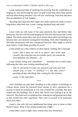Leone understood little of anything, but knowing that the combination of longing for Ash and having this piece of gold would help zhem keep human and stop zhem biting someone's face off was comforting. And zhey had more than an abundance of Ash longing.

Nuzzling zheir head into zheir upper arm, body curled into a ball, it wasn't long before sleep took over Leone's energy-depleted body and mind.

\*\*\*\*

Leone woke up with many of the same questions zhey had before zhey passed out, but also with the same longing for Ash zhey had always had. Leone sighed. The whole reason zhey were never honest about zheir true feelings was because zhey were afraid of ruining their friendship. Well, their friendship was officially traumatized with new, unexpected tensions. Zhey might as well be more honest. Could things possibly be worst?

Leone pulled up a chat window on zheir laptop, sending Ash a message.

Leone: *Did I leave my cell at yr place? zhey wrote mad casually, like yesterday was just another party, not urmmm the lived definition of a shitshow… lol*

Leone smiled, seeing Ash's immediate '. . .' animation next to zheir name, indicating that zhey were writing something back.

Ash: *Yr cell ish here! Come over and pick it up! zhey said with smooth ease, in total ~\*~~chillness~\*~\*, like zhey weren't spending all day refreshing chat, waiting for this moment…*

Leone: *!!! Be right there~*

\*\*\*\*

Ash's building was pale pink, blending in to the rainbow of buildings on Colores Street. Leone let zhemself loiter outside of Ash's apartment for a second, to build up momentum. It was only seemed like yesterday that zhey rushed into that building, Ash at zheir side, barely even making it up on the stairwell. They both were so rambunctious, making out and groping each other as they inched into Ash's apartment. They were so excited to be passionate about each other.

Leone's chat with Ash *was* lighthearted but things were so tense at zheir Mamá's house. What if this meetup turned into a fight?

Leone didn't want to fight. Zhey wanted zheir best friend back.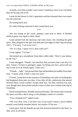Actually, even that wouldn't sate Leone's loneliness, but it was a lot better than not having Ash at all.

Leone hit the buzzer to Ash's apartment and then shouted zheir own name into the intercom.

No turning back now.

*Or* really fucking awkward if zhey turned back now.

\*\*\*\*

Ash was sitting on the couch, patting a spot next to zhem. A blushed medical gauze was taped to zheir cheek.

Leone jerked from the doorway and came closer, fist clutching the gold piece. Zhey plopped to the spot Ash indicated, the edges of zheir legs brushing Ash's. "I'm sorry. I can scoot over."

"No. It's okay. I mean. If it's okay with you?"

Leone sighed. "I'm fine."

Ash picked up a smartphone from zheir coffee table. "Here's your phone, by the way."

Leone shrugged. "Thanks. I do need that. But you know that's not why I'm here. I mean. I'm here to apologize, again, for biting your face, and to tell you that I want us to be friends again. I miss you."

"Friends… right." Ash pursed zheir lips and breathed out audibly from zheir nose. "I mean, yeah, if that's what you want."

*Friends.* Leone bent to the easiness of friendship even after everything that had happened these past two days. Even after all the confessions that poured between them, Leone couldn't escape zheir fear. All zhey could do was nod, even though zheir throat dried and the corner of zheir eyes wetted at the trap of friendship.

Knees brushed knees. Breaths answered breaths. The tension that overtook the space was like a thick smog, or the phlegmy exhale of a smoker.

"You a leopard too?" asked Leone.

"Oh. I'm a lion. Urm. I can show you, if you want? I mean, I never shifted around a non-family member before, but maybe it'll be nice…"

Leone gave Ash the thumbs-up and Ash lowered zhemself to the floor, so zhey were on all fours.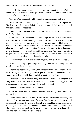Instantly, the space between them became prominent, as Leone's body ached for Ash's warmth. Zhey kept a careful watch, wanting to catch every second of zheir performance.

"Leone…" Ash moaned, right before the transformation took over.

When Ash shifted, it was like zhey were coming in and out of frequencies. Harsh gray-tone lines blurred zheir human body, until the belting roar clarified that something had happened.

The static blur dissipated, leaving behind a well-postured lion in the center of Ash's studio.

"Ash…" Leone's words tangled in zheir raspy breath. Zhey didn't want to mark this moment with something cliché and insignificant. It was so much the opposite. Ash's new cat face was surrounded by a long, curly reddish mane that extended back into golden-yellow fur. Zheir unruly hair partly masked zheir chartreuse eyes and septum piercing. Leone found it hard to digest that nearly no one else had ever seen this beautiful transformation. Ash was not *just* a lion shapeshifter, or an effeminate trans man, or Leone's best friend. Zhey were more substance than Leone could ever hope to be.

Leone wondered if Ash ever thought anything similar about zhemself.

Ash let out a string of guttural purrs as zhey repositioned so zhey were on the side, curled like a comma.

Uneasiness crept through Leone, but also something else, something much rarer. If zhey wanted to, zhey could shapeshift zhemself. Leone could attack Ash's exposed, vulnerable body in zheir violent, leopard form.

Zhey didn't want to do that. Zhey didn't want to hurt Ash ever again, but zhey could have, and Ash must have known it, after what happened the previous night. Yet, zhey were still showing Leone trust.

It made Leone lose zhemself, for a moment.

*Come nuzzle with me*, Leone heard zhem say, even though Ash's mouth was not moving.

Leone leaned onto Ash's belly. It was warm and soft and peaceful, like sipping a hot chocolate at the end of a frigid day. Leone closed zheir eyes and let zhemself melt into the moment. Zhey always thought Ash knew zhem better than zhey knew zhemself. Turned out there was more truth in that notion than zhey could have ever predicted. Leone was just discovering zheir shapeshifter self and Ash already had mastered zheirs.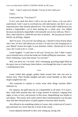"Ash… I don't want to be friends. I'm too in love with you."

*I know…*

Leone jerked up. "You know!?"

*It isn't your fault but there's still a lot you don't know, a lot you don't understand. I don't want to overload you with information, but there was an important piece that Jasmine glossed over. You clearly didn't shift because you fucked a shapeshifter—we've been fucking for a whole year. You shifted because you fucked a shapeshifter who mutually was in love with you. That's that's what unlocks it. I think the last time we fucked… the last grip of control I had for my feelings, slipped.*

*And I'm sorry. I'm sorry for not telling you. I should've been honest about who I was. Or how I felt about you, at least. I'm also sorry for bringing you to your Mamá's house last night, in your feminine clothes. I fucked up in a lot of ways, but I want to fix it. I want…*

Leone laughed. "I came here to tell you I loved you, Ash. I didn't expect you to already know it from the inside out. Kinda ruffling my suaveness… but I find it endearing. Guess that means I'm screwed."

*Well, you know me. I'm trash.* Ash's whomping, growling laugh filled up the space, just as it had many times before, even though this time it came from a snarling pussy face.

\*\*\*\*

Leone curled zheir gangly, golden limbs around Ash, who was now in human form. Their breaths mingled and their scents blended, as their nude shapes tangled into one.

Ash continued to explain to Leone some other things Jasmine didn't elaborate on.

For instance, the gold must be on a shapeshifter at all times. If it wasn't, they could shift anytime they felt a large amount of emotion, ranging from anger, to lust, to love, and onward. In this sense, shapeshifting was similar to narcolepsy. The reason Ash could control zheir transformations was because zhey had zheir blessed piece of gold stapled in between zheir nostrils.

Ash offered to do something similar to Leone; zhey rocked out of Leone's grip and knelt on a towel that lay in front of the couch.

Leone adjusted zhemself so they were sitting up, facing Ash.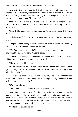Also on the towel were sterilized piercing needles, a piercing cork, rubbing alcohol, a piece of cotton, rubber gloves, a sharpie, and an earring, made out of one of Ash's spare hooks and the piece of gold Sara had given to Leone. "So, we're giving you a Prince Albert, right?"

"Oh my God. Can you stop being a dick for like five minutes? For the amount of time it takes to put a hole in me. That's all I'm asking. After that, dick away."

"Fine. I'll be a good boy for five minutes. Then it's dick, dick, dick, dick, dick."

"I'll show you dick, dick, dick. Now come up here and give my face a new orifice."

Ash put on the rubber gloves and dabbed the piece of cotton with rubbing alcohol. Zhey disinfected Leone's left earlobe.

"That's the straight ear, right? It's very, very important that you penetrate my straight earlobe. No homo," Leone joked.

Ash smiled as zhey poked the center of Leone's earlobe with the sharpie. "Have you ever gotten anything pierced before?"

"No. What should I expect?"

"Some discomfort, but less than a shot. It won't be that bad. Especially for you, actually. Fuck it, if you want more pain we should do a spanking scene after the piercing."

Leone stuck out zheir tongue. "Calm down, kitty. Let's focus on the task at hand. Piercing me without blinding me, or having to cut my infected earlobe off, or anything else horrific."

"Do you trust me?"

"With my life. That's why I'm here. Now get with it."

Ash's smile popped in zheir dimples. Zhey picked up the piercing needle and aligned it to the dot zhey made while holding a piercing cork on the other side. Once the needle was removed, Ash pushed the earring through Leone's earlobe into the cork. The ring went through smoothly, easily, a slip and a fall, like the slippery, soft texture of their love for each other.

"Welcome to the marred life."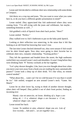Leone and Ash decided to celebrate zheir new relationship with some drinks at Cotopaxi.

Ash threw on a crop top and jeans. "Do you want to wear what you came here in, or do you have a different gender presentation in mind?"

Leone smiled. Zhey appreciated that Ash understood where zhey were coming from. "I'm still jiving with the jeans and wifebeater, but maybe… something feminine as well…"

Ash grabbed a stick of lipstick from zheir back pocket. "Here?"

Leone smiled. "Perfect."

Zhey walked over to Ash's bathroom to put on the baby-pink lipstick.

Looking at zheir reflection was unnerving, in the sense that it felt like looking at an old friend but knowing that wasn't true.

The last time Leone checked zhemself out, zhey were unsure if Ash would ever be zheir friend again. Now zhey were going to zheir favorite bar to celebrate zheir new, romantic relationship. "Fucking perfect."

They left the apartment and headed down the street; the high sunbeams curled their rays around Leone's neck and shoulders. It wasn't long before they were drinking Dark 'N' Stormy cocktails at the bar together.

"Let's play shower thoughts. Like, have you ever thought about how when you move your eyes away from a book you are reading the story automatically pauses?" Leone took a deep sip of zheir drink. "It's like whoa, no remote control needed."

"What about this… water can't be ice cold because if it was than it would be ice." Ash smiled, wrapped an arm around Leone's neck. "Game. Set. Match."

Leone bit on zheir lower lip, trying to think of another shower thought, when zheir cell beeped. Zhey pulled it out of zheir front pocket, finding an incoming text:

Mamá*: ciao mi amorcito, mi leone. thinking of u. hope u are doing ok. i <3 u, whatever shape u are because u <3 me, whatever shape i am. right?*

Leone texted her back:

Leone*: Yo tambien te amo, whatever shape you are. Lots of love recently… Ash and I… we are together now…*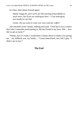In a beat, zheir phone buzzed again:

Mamá*: happy for you!! sorry, for this morning and probably so much more, but if you are androgino then i <3 my androgino, just needed to say that.*

Leone*: Do you want to come over next week for coffee?*

Ash clutched Leone's hands, rubbing each joint. "I feel like I won a contest that I don't remember participating in. My best friend is my lover. Shit… how did we get so lucky?"

"Dunno, but if I could, I would bless Colores Street to thank it for giving me… my selfhood, you, my family…" Leone leaned back, into Ash's grip. "I think I am in love."

#### **The End**